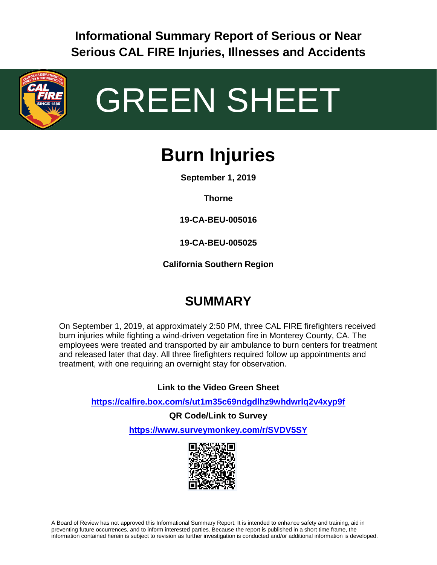**Informational Summary Report of Serious or Near Serious CAL FIRE Injuries, Illnesses and Accidents**



# GREEN SHEET

# **Burn Injuries**

**September 1, 2019**

**Thorne**

**19-CA-BEU-005016**

**19-CA-BEU-005025**

**California Southern Region**

# **SUMMARY**

On September 1, 2019, at approximately 2:50 PM, three CAL FIRE firefighters received burn injuries while fighting a wind-driven vegetation fire in Monterey County, CA. The employees were treated and transported by air ambulance to burn centers for treatment and released later that day. All three firefighters required follow up appointments and treatment, with one requiring an overnight stay for observation.

**Link to the Video Green Sheet**

**<https://calfire.box.com/s/ut1m35c69ndgdlhz9whdwrlq2v4xyp9f>**

**QR Code/Link to Survey <https://www.surveymonkey.com/r/SVDV5SY>**



A Board of Review has not approved this Informational Summary Report. It is intended to enhance safety and training, aid in preventing future occurrences, and to inform interested parties. Because the report is published in a short time frame, the information contained herein is subject to revision as further investigation is conducted and/or additional information is developed.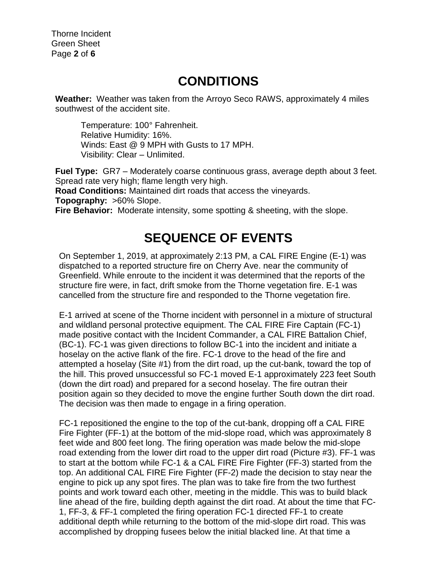#### **CONDITIONS**

**Weather:** Weather was taken from the Arroyo Seco RAWS, approximately 4 miles southwest of the accident site.

Temperature: 100° Fahrenheit. Relative Humidity: 16%. Winds: East @ 9 MPH with Gusts to 17 MPH. Visibility: Clear – Unlimited.

**Fuel Type:** GR7 – Moderately coarse continuous grass, average depth about 3 feet. Spread rate very high; flame length very high.

**Road Conditions:** Maintained dirt roads that access the vineyards.

**Topography:** >60% Slope.

**Fire Behavior:** Moderate intensity, some spotting & sheeting, with the slope.

#### **SEQUENCE OF EVENTS**

On September 1, 2019, at approximately 2:13 PM, a CAL FIRE Engine (E-1) was dispatched to a reported structure fire on Cherry Ave. near the community of Greenfield. While enroute to the incident it was determined that the reports of the structure fire were, in fact, drift smoke from the Thorne vegetation fire. E-1 was cancelled from the structure fire and responded to the Thorne vegetation fire.

E-1 arrived at scene of the Thorne incident with personnel in a mixture of structural and wildland personal protective equipment. The CAL FIRE Fire Captain (FC-1) made positive contact with the Incident Commander, a CAL FIRE Battalion Chief, (BC-1). FC-1 was given directions to follow BC-1 into the incident and initiate a hoselay on the active flank of the fire. FC-1 drove to the head of the fire and attempted a hoselay (Site #1) from the dirt road, up the cut-bank, toward the top of the hill. This proved unsuccessful so FC-1 moved E-1 approximately 223 feet South (down the dirt road) and prepared for a second hoselay. The fire outran their position again so they decided to move the engine further South down the dirt road. The decision was then made to engage in a firing operation.

FC-1 repositioned the engine to the top of the cut-bank, dropping off a CAL FIRE Fire Fighter (FF-1) at the bottom of the mid-slope road, which was approximately 8 feet wide and 800 feet long. The firing operation was made below the mid-slope road extending from the lower dirt road to the upper dirt road (Picture #3). FF-1 was to start at the bottom while FC-1 & a CAL FIRE Fire Fighter (FF-3) started from the top. An additional CAL FIRE Fire Fighter (FF-2) made the decision to stay near the engine to pick up any spot fires. The plan was to take fire from the two furthest points and work toward each other, meeting in the middle. This was to build black line ahead of the fire, building depth against the dirt road. At about the time that FC-1, FF-3, & FF-1 completed the firing operation FC-1 directed FF-1 to create additional depth while returning to the bottom of the mid-slope dirt road. This was accomplished by dropping fusees below the initial blacked line. At that time a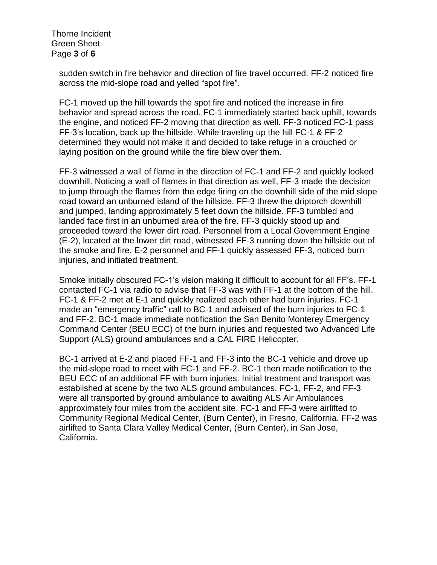Thorne Incident Green Sheet Page **3** of **6**

> sudden switch in fire behavior and direction of fire travel occurred. FF-2 noticed fire across the mid-slope road and yelled "spot fire".

FC-1 moved up the hill towards the spot fire and noticed the increase in fire behavior and spread across the road. FC-1 immediately started back uphill, towards the engine, and noticed FF-2 moving that direction as well. FF-3 noticed FC-1 pass FF-3's location, back up the hillside. While traveling up the hill FC-1 & FF-2 determined they would not make it and decided to take refuge in a crouched or laying position on the ground while the fire blew over them.

FF-3 witnessed a wall of flame in the direction of FC-1 and FF-2 and quickly looked downhill. Noticing a wall of flames in that direction as well, FF-3 made the decision to jump through the flames from the edge firing on the downhill side of the mid slope road toward an unburned island of the hillside. FF-3 threw the driptorch downhill and jumped, landing approximately 5 feet down the hillside. FF-3 tumbled and landed face first in an unburned area of the fire. FF-3 quickly stood up and proceeded toward the lower dirt road. Personnel from a Local Government Engine (E-2), located at the lower dirt road, witnessed FF-3 running down the hillside out of the smoke and fire. E-2 personnel and FF-1 quickly assessed FF-3, noticed burn injuries, and initiated treatment.

Smoke initially obscured FC-1's vision making it difficult to account for all FF's. FF-1 contacted FC-1 via radio to advise that FF-3 was with FF-1 at the bottom of the hill. FC-1 & FF-2 met at E-1 and quickly realized each other had burn injuries. FC-1 made an "emergency traffic" call to BC-1 and advised of the burn injuries to FC-1 and FF-2. BC-1 made immediate notification the San Benito Monterey Emergency Command Center (BEU ECC) of the burn injuries and requested two Advanced Life Support (ALS) ground ambulances and a CAL FIRE Helicopter.

BC-1 arrived at E-2 and placed FF-1 and FF-3 into the BC-1 vehicle and drove up the mid-slope road to meet with FC-1 and FF-2. BC-1 then made notification to the BEU ECC of an additional FF with burn injuries. Initial treatment and transport was established at scene by the two ALS ground ambulances. FC-1, FF-2, and FF-3 were all transported by ground ambulance to awaiting ALS Air Ambulances approximately four miles from the accident site. FC-1 and FF-3 were airlifted to Community Regional Medical Center, (Burn Center), in Fresno, California. FF-2 was airlifted to Santa Clara Valley Medical Center, (Burn Center), in San Jose, California.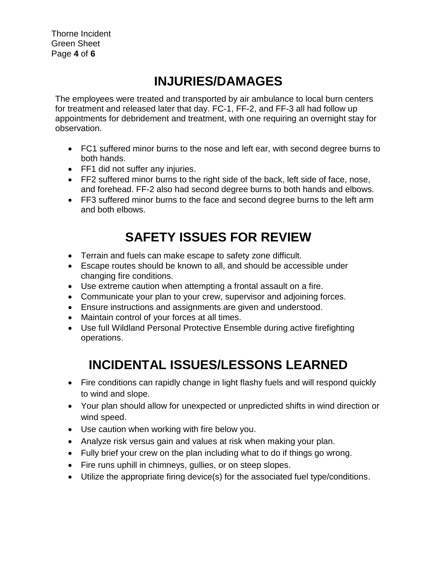## **INJURIES/DAMAGES**

The employees were treated and transported by air ambulance to local burn centers for treatment and released later that day. FC-1, FF-2, and FF-3 all had follow up appointments for debridement and treatment, with one requiring an overnight stay for observation.

- FC1 suffered minor burns to the nose and left ear, with second degree burns to both hands.
- FF1 did not suffer any injuries.
- FF2 suffered minor burns to the right side of the back, left side of face, nose, and forehead. FF-2 also had second degree burns to both hands and elbows.
- FF3 suffered minor burns to the face and second degree burns to the left arm and both elbows.

# **SAFETY ISSUES FOR REVIEW**

- Terrain and fuels can make escape to safety zone difficult.
- Escape routes should be known to all, and should be accessible under changing fire conditions.
- Use extreme caution when attempting a frontal assault on a fire.
- Communicate your plan to your crew, supervisor and adjoining forces.
- Ensure instructions and assignments are given and understood.
- Maintain control of your forces at all times.
- Use full Wildland Personal Protective Ensemble during active firefighting operations.

### **INCIDENTAL ISSUES/LESSONS LEARNED**

- Fire conditions can rapidly change in light flashy fuels and will respond quickly to wind and slope.
- Your plan should allow for unexpected or unpredicted shifts in wind direction or wind speed.
- Use caution when working with fire below you.
- Analyze risk versus gain and values at risk when making your plan.
- Fully brief your crew on the plan including what to do if things go wrong.
- Fire runs uphill in chimneys, gullies, or on steep slopes.
- Utilize the appropriate firing device(s) for the associated fuel type/conditions.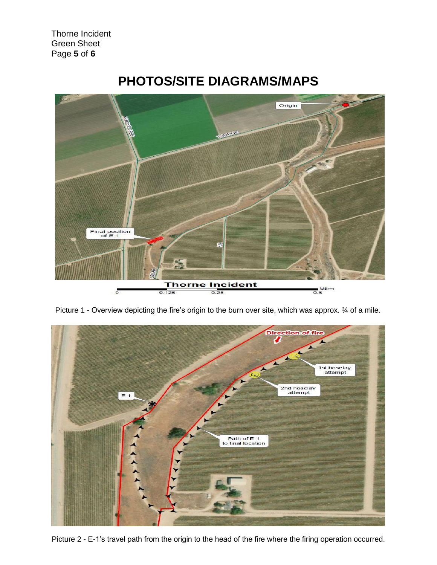Thorne Incident Green Sheet Page **5** of **6**



#### **PHOTOS/SITE DIAGRAMS/MAPS**

Picture 1 - Overview depicting the fire's origin to the burn over site, which was approx. ¾ of a mile.



Picture 2 - E-1's travel path from the origin to the head of the fire where the firing operation occurred.